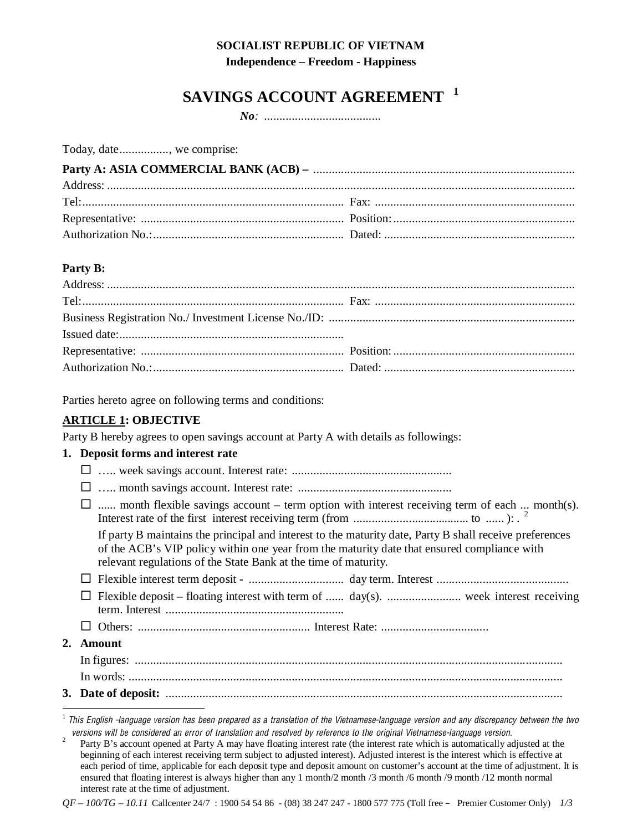## **SOCIALIST REPUBLIC OF VIETNAM**

**Independence – Freedom - Happiness** 

# SAVINGS ACCOUNT AGREEMENT <sup>1</sup>

Today, date..............., we comprise:

#### Party B:

Parties hereto agree on following terms and conditions:

# **ARTICLE 1: OBJECTIVE**

Party B hereby agrees to open savings account at Party A with details as followings:

#### 1. Deposit forms and interest rate

| $\Box$ month flexible savings account – term option with interest receiving term of each  month(s).                                                                                                                                                                       |
|---------------------------------------------------------------------------------------------------------------------------------------------------------------------------------------------------------------------------------------------------------------------------|
| If party B maintains the principal and interest to the maturity date, Party B shall receive preferences<br>of the ACB's VIP policy within one year from the maturity date that ensured compliance with<br>relevant regulations of the State Bank at the time of maturity. |
|                                                                                                                                                                                                                                                                           |
|                                                                                                                                                                                                                                                                           |
|                                                                                                                                                                                                                                                                           |
| 2. Amount                                                                                                                                                                                                                                                                 |
|                                                                                                                                                                                                                                                                           |
|                                                                                                                                                                                                                                                                           |
|                                                                                                                                                                                                                                                                           |
|                                                                                                                                                                                                                                                                           |

 $^1$  This English -language version has been prepared as a translation of the Vietnamese-language version and any discrepancy between the two versions will be considered an error of translation and resolved by reference to the original Vietnamese-language version.

 $\overline{c}$ Party B's account opened at Party A may have floating interest rate (the interest rate which is automatically adjusted at the beginning of each interest receiving term subject to adjusted interest). Adjusted interest is the interest which is effective at each period of time, applicable for each deposit type and deposit amount on customer's account at the time of adjustment. It is ensured that floating interest is always higher than any 1 month/2 month /3 month /6 month /9 month /12 month normal interest rate at the time of adjustment.

 $QF - 100/TG - 10.11$  Callcenter 24/7 : 1900 54 54 86 - (08) 38 247 247 - 1800 577 775 (Toll free - Premier Customer Only)  $1/3$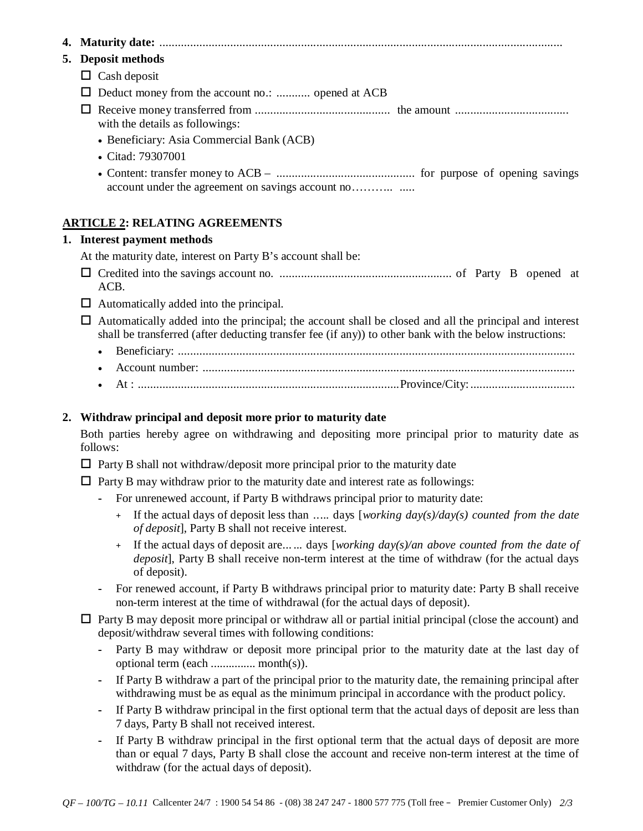**4. Maturity date:** ................................................................................................................................... **5. Deposit methods**   $\Box$  Cash deposit - Deduct money from the account no.: ........... opened at ACB - Receive money transferred from ............................................ the amount ..................................... with the details as followings: • Beneficiary: Asia Commercial Bank (ACB) • Citad: 79307001 • Content: transfer money to ACB – ............................................. for purpose of opening savings account under the agreement on savings account no……….. .....

### **ARTICLE 2: RELATING AGREEMENTS**

#### **1. Interest payment methods**

At the maturity date, interest on Party B's account shall be:

- Credited into the savings account no. ........................................................ of Party B opened at ACB.
- $\Box$  Automatically added into the principal.
- Automatically added into the principal; the account shall be closed and all the principal and interest shall be transferred (after deducting transfer fee (if any)) to other bank with the below instructions:
	- Beneficiary: .................................................................................................................................
	- Account number: .........................................................................................................................
	- At : .....................................................................................Province/City: ..................................

#### **2. Withdraw principal and deposit more prior to maturity date**

Both parties hereby agree on withdrawing and depositing more principal prior to maturity date as follows:

- □ Party B shall not withdraw/deposit more principal prior to the maturity date
- □ Party B may withdraw prior to the maturity date and interest rate as followings:
	- **-** For unrenewed account, if Party B withdraws principal prior to maturity date:
		- **+** If the actual days of deposit less than ..... days [*working day(s)/day(s) counted from the date of deposit*], Party B shall not receive interest.
		- **+** If the actual days of deposit are... ... days [*working day(s)/an above counted from the date of deposit*], Party B shall receive non-term interest at the time of withdraw (for the actual days of deposit).
	- **-** For renewed account, if Party B withdraws principal prior to maturity date: Party B shall receive non-term interest at the time of withdrawal (for the actual days of deposit).

□ Party B may deposit more principal or withdraw all or partial initial principal (close the account) and deposit/withdraw several times with following conditions:

- **-** Party B may withdraw or deposit more principal prior to the maturity date at the last day of optional term (each ............... month(s)).
- **-** If Party B withdraw a part of the principal prior to the maturity date, the remaining principal after withdrawing must be as equal as the minimum principal in accordance with the product policy.
- **-** If Party B withdraw principal in the first optional term that the actual days of deposit are less than 7 days, Party B shall not received interest.
- **-** If Party B withdraw principal in the first optional term that the actual days of deposit are more than or equal 7 days, Party B shall close the account and receive non-term interest at the time of withdraw (for the actual days of deposit).